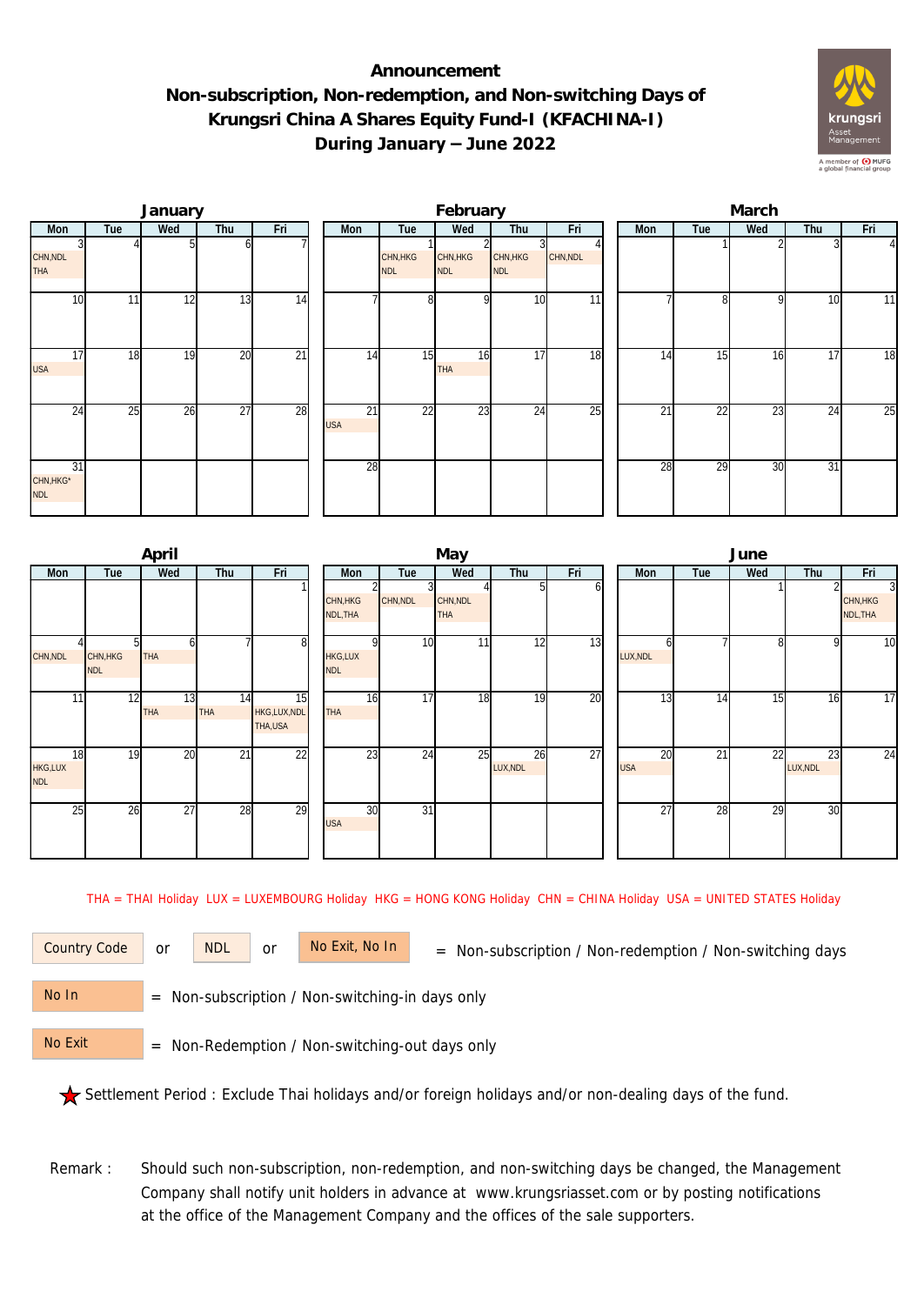## **Announcement Non-subscription, Non-redemption, and Non-switching Days of Krungsri China A Shares Equity Fund-I (KFACHINA-I) During January – June 2022**



|                                            |     | January |                 |                 |                  |                        | February               |                        |                 | March |                 |     |                 |          |  |  |
|--------------------------------------------|-----|---------|-----------------|-----------------|------------------|------------------------|------------------------|------------------------|-----------------|-------|-----------------|-----|-----------------|----------|--|--|
| Mon                                        | Tue | Wed     | Thu             | Fri             | Mon              | Tue                    | Wed                    | Thu                    | Fri             | Mon   | Tue             | Wed | Thu             | Fri      |  |  |
| CHN, NDL<br><b>THA</b>                     |     |         | ΩI              |                 |                  | CHN, HKG<br><b>NDL</b> | CHN, HKG<br><b>NDL</b> | CHN, HKG<br><b>NDL</b> | CHN, NDL        |       |                 |     |                 | $\Delta$ |  |  |
| 10                                         | 11  | 12      | 13              | 14              |                  | 8                      | $\Omega$               | 10                     | 11              |       | 81              | 9   | 10              | 11       |  |  |
| 17<br><b>USA</b>                           | 18  | 19      | 20              | $\overline{21}$ | $1\overline{4}$  | 15                     | 16<br>THA              | 17                     | 18              | 14    | 15              | 16  | 17              | 18       |  |  |
| 24                                         | 25  | 26      | $\overline{27}$ | 28              | 21<br><b>USA</b> | 22                     | 23                     | 24                     | $\overline{25}$ | 21    | $2\overline{2}$ | 23  | 24              | 25       |  |  |
| $\overline{31}$<br>CHN, HKG*<br><b>NDL</b> |     |         |                 |                 | 28               |                        |                        |                        |                 | 28    | 29              | 30  | $\overline{31}$ |          |  |  |

|                             |                        | April      |                  |                               |                              |                 | May                    |                |     | June                          |                 |                 |                |                                        |  |  |
|-----------------------------|------------------------|------------|------------------|-------------------------------|------------------------------|-----------------|------------------------|----------------|-----|-------------------------------|-----------------|-----------------|----------------|----------------------------------------|--|--|
| Mon                         | Tue                    | Wed        | Thu              | Fri                           | Mon                          | Tue             | Wed                    | Thu            | Fri | Mon                           | Tue             | Wed             | Thu            | Fri                                    |  |  |
|                             |                        |            |                  |                               | CHN, HKG<br>NDL, THA         | CHN, NDL        | CHN, NDL<br><b>THA</b> | 51             | ωI  |                               |                 |                 |                | $\overline{3}$<br>CHN, HKG<br>NDL, THA |  |  |
| CHN, NDL                    | CHN, HKG<br><b>NDL</b> | <b>THA</b> |                  | 8                             | <b>HKG,LUX</b><br><b>NDL</b> | 10              | 11                     | 12             | 13  | LUX, NDL                      |                 | 81              | $\mathsf{Q}$   | $\overline{10}$                        |  |  |
| 11                          | 12                     | 13<br>THA  | 14<br><b>THA</b> | 15<br>HKG,LUX,NDL<br>THA, USA | 16<br><b>THA</b>             | $\overline{17}$ | 18                     | 19             | 20  | 13                            | 14              | 15              | 16             | $\overline{17}$                        |  |  |
| 18<br>HKG,LUX<br><b>NDL</b> | 19                     | 20         | $\overline{21}$  | $\overline{22}$               | 23                           | $\overline{24}$ | 25                     | 26<br>LUX, NDL | 27  | $\overline{20}$<br><b>USA</b> | $\overline{21}$ | $\overline{22}$ | 23<br>LUX, NDL | $\overline{24}$                        |  |  |
| 25                          | 26                     | 27         | 28               | 29                            | 30<br><b>USA</b>             | $\overline{31}$ |                        |                |     | 27                            | 28              | 29              | 30             |                                        |  |  |

THA = THAI Holiday LUX = LUXEMBOURG Holiday HKG = HONG KONG Holiday CHN = CHINA Holiday USA = UNITED STATES Holiday

or NDL or

Country Code or NDL or No Exit, No In = Non-subscription / Non-redemption / Non-switching days

 = Non-subscription / Non-switching-in days only No In

 = Non-Redemption / Non-switching-out days only No Exit

Settlement Period : Exclude Thai holidays and/or foreign holidays and/or non-dealing days of the fund.

Remark : Should such non-subscription, non-redemption, and non-switching days be changed, the Management Company shall notify unit holders in advance at www.krungsriasset.com or by posting notifications at the office of the Management Company and the offices of the sale supporters.